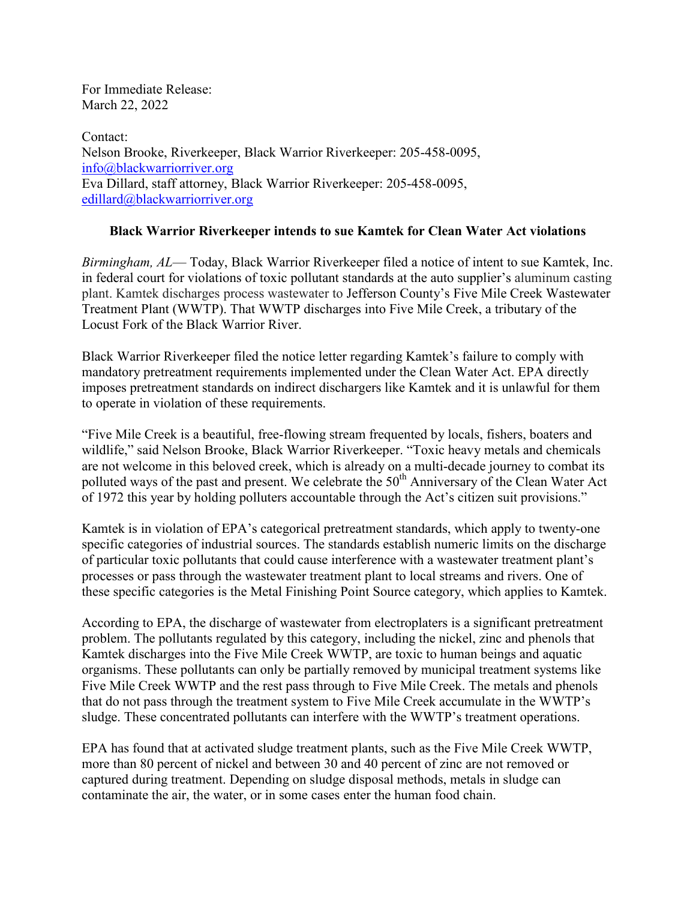For Immediate Release: March 22, 2022

Contact: Nelson Brooke, Riverkeeper, Black Warrior Riverkeeper: 205-458-0095, info@blackwarriorriver.org Eva Dillard, staff attorney, Black Warrior Riverkeeper: 205-458-0095, [edillard@blackwarriorriver.org](mailto:edillard@blackwarriorriver.org)

## **Black Warrior Riverkeeper intends to sue Kamtek for Clean Water Act violations**

*Birmingham, AL*— Today, Black Warrior Riverkeeper filed a notice of intent to sue Kamtek, Inc. in federal court for violations of toxic pollutant standards at the auto supplier's aluminum casting plant. Kamtek discharges process wastewater to Jefferson County's Five Mile Creek Wastewater Treatment Plant (WWTP). That WWTP discharges into Five Mile Creek, a tributary of the Locust Fork of the Black Warrior River.

Black Warrior Riverkeeper filed the notice letter regarding Kamtek's failure to comply with mandatory pretreatment requirements implemented under the Clean Water Act. EPA directly imposes pretreatment standards on indirect dischargers like Kamtek and it is unlawful for them to operate in violation of these requirements.

"Five Mile Creek is a beautiful, free-flowing stream frequented by locals, fishers, boaters and wildlife," said Nelson Brooke, Black Warrior Riverkeeper. "Toxic heavy metals and chemicals are not welcome in this beloved creek, which is already on a multi-decade journey to combat its polluted ways of the past and present. We celebrate the 50<sup>th</sup> Anniversary of the Clean Water Act of 1972 this year by holding polluters accountable through the Act's citizen suit provisions."

Kamtek is in violation of EPA's categorical pretreatment standards, which apply to twenty-one specific categories of industrial sources. The standards establish numeric limits on the discharge of particular toxic pollutants that could cause interference with a wastewater treatment plant's processes or pass through the wastewater treatment plant to local streams and rivers. One of these specific categories is the Metal Finishing Point Source category, which applies to Kamtek.

According to EPA, the discharge of wastewater from electroplaters is a significant pretreatment problem. The pollutants regulated by this category, including the nickel, zinc and phenols that Kamtek discharges into the Five Mile Creek WWTP, are toxic to human beings and aquatic organisms. These pollutants can only be partially removed by municipal treatment systems like Five Mile Creek WWTP and the rest pass through to Five Mile Creek. The metals and phenols that do not pass through the treatment system to Five Mile Creek accumulate in the WWTP's sludge. These concentrated pollutants can interfere with the WWTP's treatment operations.

EPA has found that at activated sludge treatment plants, such as the Five Mile Creek WWTP, more than 80 percent of nickel and between 30 and 40 percent of zinc are not removed or captured during treatment. Depending on sludge disposal methods, metals in sludge can contaminate the air, the water, or in some cases enter the human food chain.